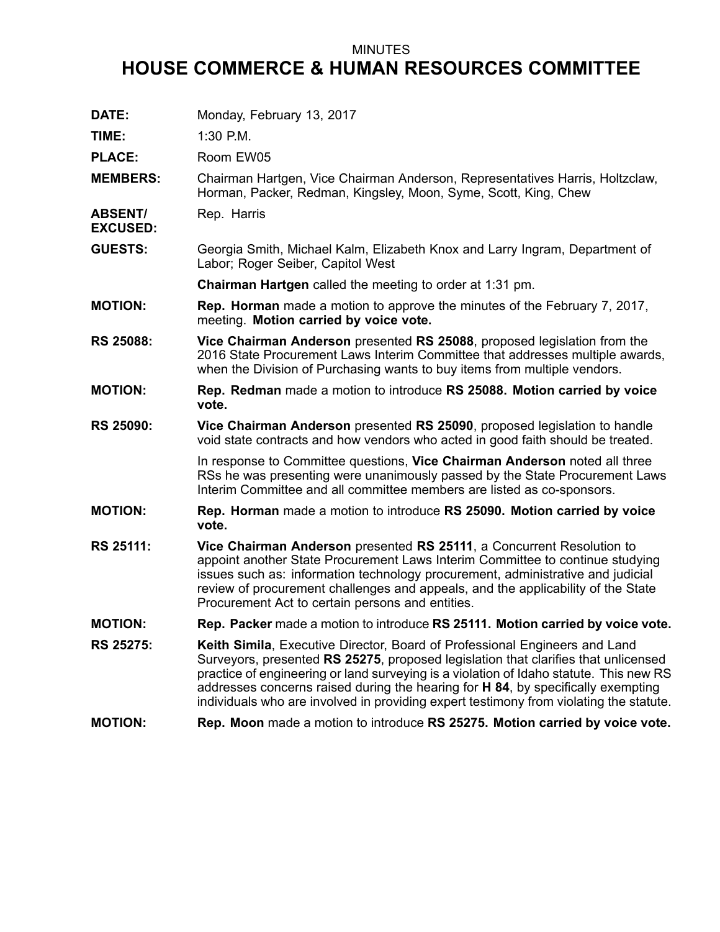## MINUTES

## **HOUSE COMMERCE & HUMAN RESOURCES COMMITTEE**

| DATE:                             | Monday, February 13, 2017                                                                                                                                                                                                                                                                                                                                                                                                                       |
|-----------------------------------|-------------------------------------------------------------------------------------------------------------------------------------------------------------------------------------------------------------------------------------------------------------------------------------------------------------------------------------------------------------------------------------------------------------------------------------------------|
| TIME:                             | 1:30 P.M.                                                                                                                                                                                                                                                                                                                                                                                                                                       |
| <b>PLACE:</b>                     | Room EW05                                                                                                                                                                                                                                                                                                                                                                                                                                       |
| <b>MEMBERS:</b>                   | Chairman Hartgen, Vice Chairman Anderson, Representatives Harris, Holtzclaw,<br>Horman, Packer, Redman, Kingsley, Moon, Syme, Scott, King, Chew                                                                                                                                                                                                                                                                                                 |
| <b>ABSENT/</b><br><b>EXCUSED:</b> | Rep. Harris                                                                                                                                                                                                                                                                                                                                                                                                                                     |
| <b>GUESTS:</b>                    | Georgia Smith, Michael Kalm, Elizabeth Knox and Larry Ingram, Department of<br>Labor; Roger Seiber, Capitol West                                                                                                                                                                                                                                                                                                                                |
|                                   | Chairman Hartgen called the meeting to order at 1:31 pm.                                                                                                                                                                                                                                                                                                                                                                                        |
| <b>MOTION:</b>                    | <b>Rep. Horman</b> made a motion to approve the minutes of the February 7, 2017,<br>meeting. Motion carried by voice vote.                                                                                                                                                                                                                                                                                                                      |
| <b>RS 25088:</b>                  | Vice Chairman Anderson presented RS 25088, proposed legislation from the<br>2016 State Procurement Laws Interim Committee that addresses multiple awards,<br>when the Division of Purchasing wants to buy items from multiple vendors.                                                                                                                                                                                                          |
| <b>MOTION:</b>                    | Rep. Redman made a motion to introduce RS 25088. Motion carried by voice<br>vote.                                                                                                                                                                                                                                                                                                                                                               |
| <b>RS 25090:</b>                  | Vice Chairman Anderson presented RS 25090, proposed legislation to handle<br>void state contracts and how vendors who acted in good faith should be treated.                                                                                                                                                                                                                                                                                    |
|                                   | In response to Committee questions, Vice Chairman Anderson noted all three<br>RSs he was presenting were unanimously passed by the State Procurement Laws<br>Interim Committee and all committee members are listed as co-sponsors.                                                                                                                                                                                                             |
| <b>MOTION:</b>                    | Rep. Horman made a motion to introduce RS 25090. Motion carried by voice<br>vote.                                                                                                                                                                                                                                                                                                                                                               |
| <b>RS 25111:</b>                  | Vice Chairman Anderson presented RS 25111, a Concurrent Resolution to<br>appoint another State Procurement Laws Interim Committee to continue studying<br>issues such as: information technology procurement, administrative and judicial<br>review of procurement challenges and appeals, and the applicability of the State<br>Procurement Act to certain persons and entities.                                                               |
| <b>MOTION:</b>                    | Rep. Packer made a motion to introduce RS 25111. Motion carried by voice vote.                                                                                                                                                                                                                                                                                                                                                                  |
| <b>RS 25275:</b>                  | <b>Keith Simila, Executive Director, Board of Professional Engineers and Land</b><br>Surveyors, presented RS 25275, proposed legislation that clarifies that unlicensed<br>practice of engineering or land surveying is a violation of Idaho statute. This new RS<br>addresses concerns raised during the hearing for H 84, by specifically exempting<br>individuals who are involved in providing expert testimony from violating the statute. |
| <b>MOTION:</b>                    | Rep. Moon made a motion to introduce RS 25275. Motion carried by voice vote.                                                                                                                                                                                                                                                                                                                                                                    |
|                                   |                                                                                                                                                                                                                                                                                                                                                                                                                                                 |